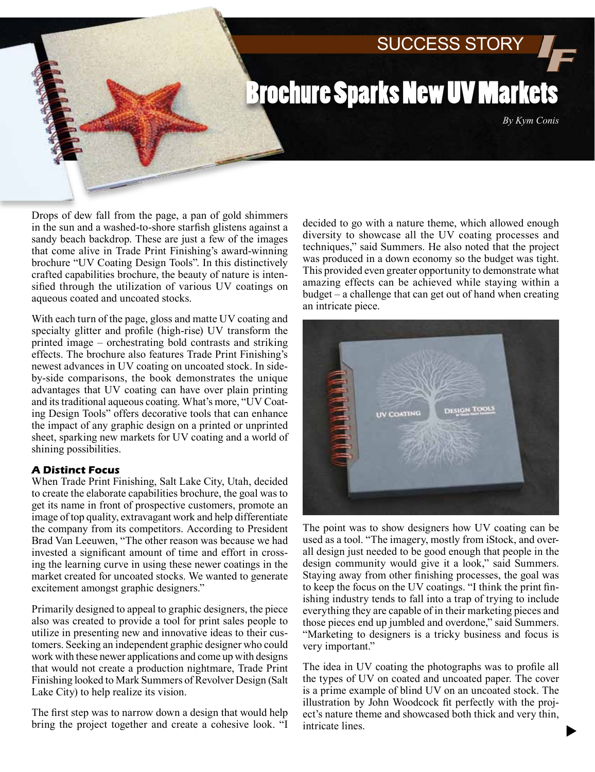# SUCCESS STORY

# Brochure Sparks New UV Markets

*By Kym Conis*

Drops of dew fall from the page, a pan of gold shimmers in the sun and a washed-to-shore starfish glistens against a sandy beach backdrop. These are just a few of the images that come alive in Trade Print Finishing's award-winning brochure "UV Coating Design Tools". In this distinctively crafted capabilities brochure, the beauty of nature is intensified through the utilization of various UV coatings on aqueous coated and uncoated stocks.

With each turn of the page, gloss and matte UV coating and specialty glitter and profile (high-rise) UV transform the printed image – orchestrating bold contrasts and striking effects. The brochure also features Trade Print Finishing's newest advances in UV coating on uncoated stock. In sideby-side comparisons, the book demonstrates the unique advantages that UV coating can have over plain printing and its traditional aqueous coating. What's more, "UV Coating Design Tools" offers decorative tools that can enhance the impact of any graphic design on a printed or unprinted sheet, sparking new markets for UV coating and a world of shining possibilities.

#### **A Distinct Focus**

When Trade Print Finishing, Salt Lake City, Utah, decided to create the elaborate capabilities brochure, the goal was to get its name in front of prospective customers, promote an image of top quality, extravagant work and help differentiate the company from its competitors. According to President Brad Van Leeuwen, "The other reason was because we had invested a significant amount of time and effort in crossing the learning curve in using these newer coatings in the market created for uncoated stocks. We wanted to generate excitement amongst graphic designers."

Primarily designed to appeal to graphic designers, the piece also was created to provide a tool for print sales people to utilize in presenting new and innovative ideas to their customers. Seeking an independent graphic designer who could work with these newer applications and come up with designs that would not create a production nightmare, Trade Print Finishing looked to Mark Summers of Revolver Design (Salt Lake City) to help realize its vision.

The first step was to narrow down a design that would help bring the project together and create a cohesive look. "I

decided to go with a nature theme, which allowed enough diversity to showcase all the UV coating processes and techniques," said Summers. He also noted that the project was produced in a down economy so the budget was tight. This provided even greater opportunity to demonstrate what amazing effects can be achieved while staying within a budget – a challenge that can get out of hand when creating an intricate piece.



The point was to show designers how UV coating can be used as a tool. "The imagery, mostly from iStock, and overall design just needed to be good enough that people in the design community would give it a look," said Summers. Staying away from other finishing processes, the goal was to keep the focus on the UV coatings. "I think the print finishing industry tends to fall into a trap of trying to include everything they are capable of in their marketing pieces and those pieces end up jumbled and overdone," said Summers. "Marketing to designers is a tricky business and focus is very important."

The idea in UV coating the photographs was to profile all the types of UV on coated and uncoated paper. The cover is a prime example of blind UV on an uncoated stock. The illustration by John Woodcock fit perfectly with the project's nature theme and showcased both thick and very thin, intricate lines.

 $\blacktriangleright$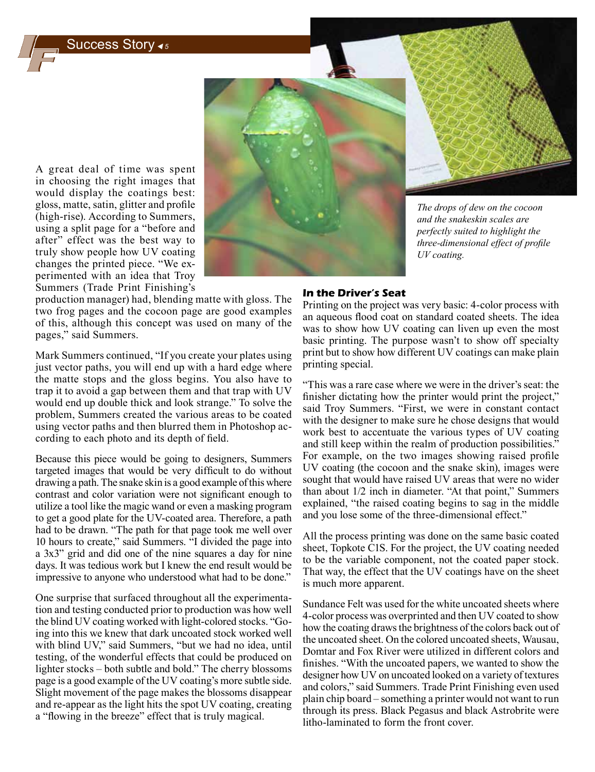## Success Story *<sup>5</sup>*

A great deal of time was spent in choosing the right images that would display the coatings best: gloss, matte, satin, glitter and profile (high-rise). According to Summers, using a split page for a "before and after" effect was the best way to truly show people how UV coating changes the printed piece. "We experimented with an idea that Troy Summers (Trade Print Finishing's

production manager) had, blending matte with gloss. The two frog pages and the cocoon page are good examples of this, although this concept was used on many of the pages," said Summers.

Mark Summers continued, "If you create your plates using just vector paths, you will end up with a hard edge where the matte stops and the gloss begins. You also have to trap it to avoid a gap between them and that trap with UV would end up double thick and look strange." To solve the problem, Summers created the various areas to be coated using vector paths and then blurred them in Photoshop according to each photo and its depth of field.

Because this piece would be going to designers, Summers targeted images that would be very difficult to do without drawing a path. The snake skin is a good example of this where contrast and color variation were not significant enough to utilize a tool like the magic wand or even a masking program to get a good plate for the UV-coated area. Therefore, a path had to be drawn. "The path for that page took me well over 10 hours to create," said Summers. "I divided the page into a 3x3" grid and did one of the nine squares a day for nine days. It was tedious work but I knew the end result would be impressive to anyone who understood what had to be done."

One surprise that surfaced throughout all the experimentation and testing conducted prior to production was how well the blind UV coating worked with light-colored stocks. "Going into this we knew that dark uncoated stock worked well with blind UV," said Summers, "but we had no idea, until testing, of the wonderful effects that could be produced on lighter stocks – both subtle and bold." The cherry blossoms page is a good example of the UV coating's more subtle side. Slight movement of the page makes the blossoms disappear and re-appear as the light hits the spot UV coating, creating a "flowing in the breeze" effect that is truly magical.

### **In the Driver's Seat**

Printing on the project was very basic: 4-color process with an aqueous flood coat on standard coated sheets. The idea was to show how UV coating can liven up even the most basic printing. The purpose wasn't to show off specialty print but to show how different UV coatings can make plain printing special.

"This was a rare case where we were in the driver's seat: the finisher dictating how the printer would print the project," said Troy Summers. "First, we were in constant contact with the designer to make sure he chose designs that would work best to accentuate the various types of UV coating and still keep within the realm of production possibilities." For example, on the two images showing raised profile UV coating (the cocoon and the snake skin), images were sought that would have raised UV areas that were no wider than about 1/2 inch in diameter. "At that point," Summers explained, "the raised coating begins to sag in the middle and you lose some of the three-dimensional effect."

All the process printing was done on the same basic coated sheet, Topkote C1S. For the project, the UV coating needed to be the variable component, not the coated paper stock. That way, the effect that the UV coatings have on the sheet is much more apparent.

Sundance Felt was used for the white uncoated sheets where 4-color process was overprinted and then UV coated to show how the coating draws the brightness of the colors back out of the uncoated sheet. On the colored uncoated sheets, Wausau, Domtar and Fox River were utilized in different colors and finishes. "With the uncoated papers, we wanted to show the designer how UV on uncoated looked on a variety of textures and colors," said Summers. Trade Print Finishing even used plain chip board – something a printer would not want to run through its press. Black Pegasus and black Astrobrite were litho-laminated to form the front cover.

*The drops of dew on the cocoon and the snakeskin scales are perfectly suited to highlight the three-dimensional effect of profile UV coating.*